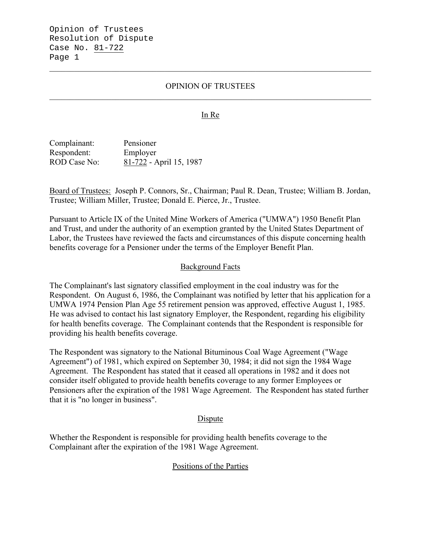Opinion of Trustees Resolution of Dispute Case No. 81-722 Page 1

### OPINION OF TRUSTEES

 $\mathcal{L}_\mathcal{L} = \mathcal{L}_\mathcal{L} = \mathcal{L}_\mathcal{L} = \mathcal{L}_\mathcal{L} = \mathcal{L}_\mathcal{L} = \mathcal{L}_\mathcal{L} = \mathcal{L}_\mathcal{L} = \mathcal{L}_\mathcal{L} = \mathcal{L}_\mathcal{L} = \mathcal{L}_\mathcal{L} = \mathcal{L}_\mathcal{L} = \mathcal{L}_\mathcal{L} = \mathcal{L}_\mathcal{L} = \mathcal{L}_\mathcal{L} = \mathcal{L}_\mathcal{L} = \mathcal{L}_\mathcal{L} = \mathcal{L}_\mathcal{L}$ 

### In Re

Complainant: Pensioner Respondent: Employer ROD Case No: 81-722 - April 15, 1987

Board of Trustees: Joseph P. Connors, Sr., Chairman; Paul R. Dean, Trustee; William B. Jordan, Trustee; William Miller, Trustee; Donald E. Pierce, Jr., Trustee.

Pursuant to Article IX of the United Mine Workers of America ("UMWA") 1950 Benefit Plan and Trust, and under the authority of an exemption granted by the United States Department of Labor, the Trustees have reviewed the facts and circumstances of this dispute concerning health benefits coverage for a Pensioner under the terms of the Employer Benefit Plan.

### Background Facts

The Complainant's last signatory classified employment in the coal industry was for the Respondent. On August 6, 1986, the Complainant was notified by letter that his application for a UMWA 1974 Pension Plan Age 55 retirement pension was approved, effective August 1, 1985. He was advised to contact his last signatory Employer, the Respondent, regarding his eligibility for health benefits coverage. The Complainant contends that the Respondent is responsible for providing his health benefits coverage.

The Respondent was signatory to the National Bituminous Coal Wage Agreement ("Wage Agreement") of 1981, which expired on September 30, 1984; it did not sign the 1984 Wage Agreement. The Respondent has stated that it ceased all operations in 1982 and it does not consider itself obligated to provide health benefits coverage to any former Employees or Pensioners after the expiration of the 1981 Wage Agreement. The Respondent has stated further that it is "no longer in business".

### Dispute

Whether the Respondent is responsible for providing health benefits coverage to the Complainant after the expiration of the 1981 Wage Agreement.

### Positions of the Parties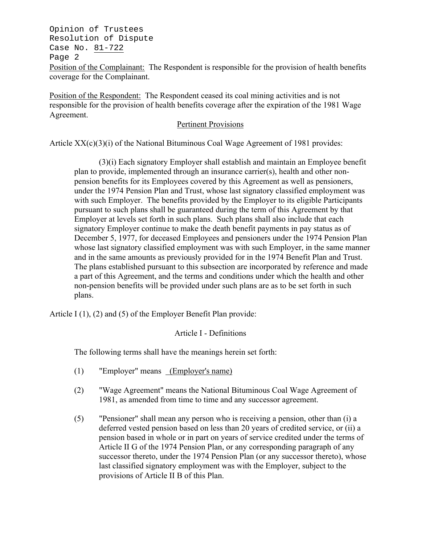Opinion of Trustees Resolution of Dispute Case No. 81-722 Page 2 Position of the Complainant: The Respondent is responsible for the provision of health benefits coverage for the Complainant.

Position of the Respondent: The Respondent ceased its coal mining activities and is not responsible for the provision of health benefits coverage after the expiration of the 1981 Wage Agreement.

## Pertinent Provisions

Article XX(c)(3)(i) of the National Bituminous Coal Wage Agreement of 1981 provides:

(3)(i) Each signatory Employer shall establish and maintain an Employee benefit plan to provide, implemented through an insurance carrier(s), health and other nonpension benefits for its Employees covered by this Agreement as well as pensioners, under the 1974 Pension Plan and Trust, whose last signatory classified employment was with such Employer. The benefits provided by the Employer to its eligible Participants pursuant to such plans shall be guaranteed during the term of this Agreement by that Employer at levels set forth in such plans. Such plans shall also include that each signatory Employer continue to make the death benefit payments in pay status as of December 5, 1977, for deceased Employees and pensioners under the 1974 Pension Plan whose last signatory classified employment was with such Employer, in the same manner and in the same amounts as previously provided for in the 1974 Benefit Plan and Trust. The plans established pursuant to this subsection are incorporated by reference and made a part of this Agreement, and the terms and conditions under which the health and other non-pension benefits will be provided under such plans are as to be set forth in such plans.

Article I (1), (2) and (5) of the Employer Benefit Plan provide:

## Article I - Definitions

The following terms shall have the meanings herein set forth:

- (1) "Employer" means (Employer's name)
- (2) "Wage Agreement" means the National Bituminous Coal Wage Agreement of 1981, as amended from time to time and any successor agreement.
- (5) "Pensioner" shall mean any person who is receiving a pension, other than (i) a deferred vested pension based on less than 20 years of credited service, or (ii) a pension based in whole or in part on years of service credited under the terms of Article II G of the 1974 Pension Plan, or any corresponding paragraph of any successor thereto, under the 1974 Pension Plan (or any successor thereto), whose last classified signatory employment was with the Employer, subject to the provisions of Article II B of this Plan.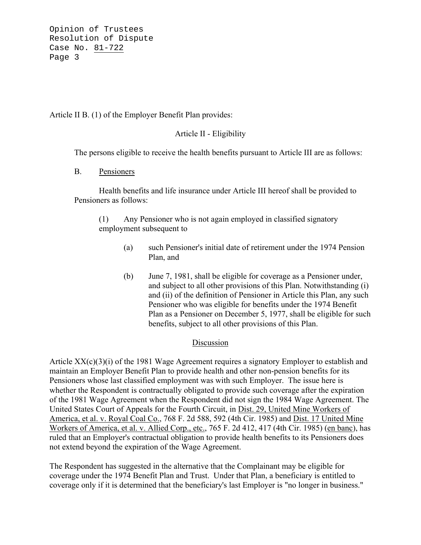Opinion of Trustees Resolution of Dispute Case No. 81-722 Page 3

Article II B. (1) of the Employer Benefit Plan provides:

# Article II - Eligibility

The persons eligible to receive the health benefits pursuant to Article III are as follows:

B. Pensioners

Health benefits and life insurance under Article III hereof shall be provided to Pensioners as follows:

(1) Any Pensioner who is not again employed in classified signatory employment subsequent to

- (a) such Pensioner's initial date of retirement under the 1974 Pension Plan, and
- (b) June 7, 1981, shall be eligible for coverage as a Pensioner under, and subject to all other provisions of this Plan. Notwithstanding (i) and (ii) of the definition of Pensioner in Article this Plan, any such Pensioner who was eligible for benefits under the 1974 Benefit Plan as a Pensioner on December 5, 1977, shall be eligible for such benefits, subject to all other provisions of this Plan.

## Discussion

Article  $XX(c)(3)(i)$  of the 1981 Wage Agreement requires a signatory Employer to establish and maintain an Employer Benefit Plan to provide health and other non-pension benefits for its Pensioners whose last classified employment was with such Employer. The issue here is whether the Respondent is contractually obligated to provide such coverage after the expiration of the 1981 Wage Agreement when the Respondent did not sign the 1984 Wage Agreement. The United States Court of Appeals for the Fourth Circuit, in Dist. 29, United Mine Workers of America, et al. v. Royal Coal Co., 768 F. 2d 588, 592 (4th Cir. 1985) and Dist. 17 United Mine Workers of America, et al. v. Allied Corp., etc., 765 F. 2d 412, 417 (4th Cir. 1985) (en banc), has ruled that an Employer's contractual obligation to provide health benefits to its Pensioners does not extend beyond the expiration of the Wage Agreement.

The Respondent has suggested in the alternative that the Complainant may be eligible for coverage under the 1974 Benefit Plan and Trust. Under that Plan, a beneficiary is entitled to coverage only if it is determined that the beneficiary's last Employer is "no longer in business."